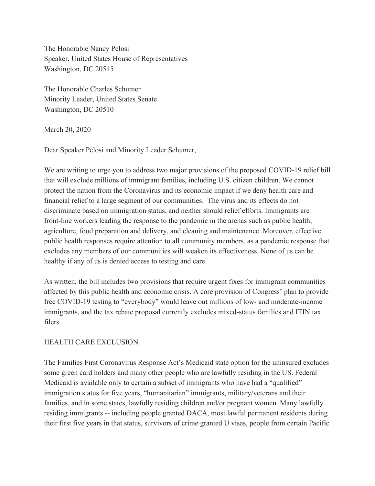The Honorable Nancy Pelosi Speaker, United States House of Representatives Washington, DC 20515

The Honorable Charles Schumer Minority Leader, United States Senate Washington, DC 20510

March 20, 2020

Dear Speaker Pelosi and Minority Leader Schumer,

We are writing to urge you to address two major provisions of the proposed COVID-19 relief bill that will exclude millions of immigrant families, including U.S. citizen children. We cannot protect the nation from the Coronavirus and its economic impact if we deny health care and financial relief to a large segment of our communities. The virus and its effects do not discriminate based on immigration status, and neither should relief efforts. Immigrants are front-line workers leading the response to the pandemic in the arenas such as public health, agriculture, food preparation and delivery, and cleaning and maintenance. Moreover, effective public health responses require attention to all community members, as a pandemic response that excludes any members of our communities will weaken its effectiveness. None of us can be healthy if any of us is denied access to testing and care.

As written, the bill includes two provisions that require urgent fixes for immigrant communities affected by this public health and economic crisis. A core provision of Congress' plan to provide free COVID-19 testing to "everybody" would leave out millions of low- and moderate-income immigrants, and the tax rebate proposal currently excludes mixed-status families and ITIN tax filers.

## HEALTH CARE EXCLUSION

The Families First Coronavirus Response Act's Medicaid state option for the uninsured excludes some green card holders and many other people who are lawfully residing in the US. Federal Medicaid is available only to certain a subset of immigrants who have had a "qualified" immigration status for five years, "humanitarian" immigrants, military/veterans and their families, and in some states, lawfully residing children and/or pregnant women. Many lawfully residing immigrants -- including people granted DACA, most lawful permanent residents during their first five years in that status, survivors of crime granted U visas, people from certain Pacific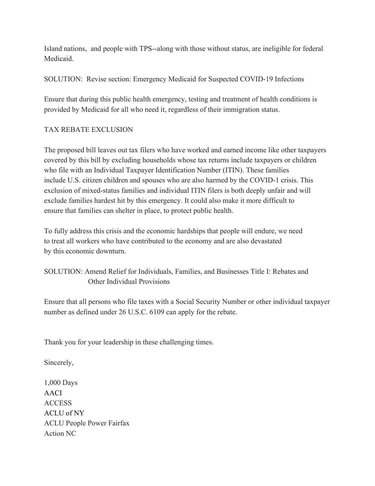Island nations, and people with TPS--along with those without status, are ineligible for federal **Medicaid** 

SOLUTION: Revise section: Emergency Medicaid for Suspected COVID-19 Infections

Ensure that during this public health emergency, testing and treatment of health conditions is provided by Medicaid for all who need it, regardless of their immigration status.

## TAX REBATE EXCLUSION

The proposed bill leaves out tax filers who have worked and earned income like other taxpayers covered by this bill by excluding households whose tax returns include taxpayers or children who file with an Individual Taxpayer Identification Number (ITIN). These families include U.S. citizen children and spouses who are also harmed by the COVID-1 crisis. This exclusion of mixed-status families and individual ITIN filers is both deeply unfair and will exclude families hardest hit by this emergency. It could also make it more difficult to ensure that families can shelter in place, to protect public health.

To fully address this crisis and the economic hardships that people will endure, we need to treat all workers who have contributed to the economy and are also devastated by this economic downturn.

## SOLUTION: Amend Relief for Individuals, Families, and Businesses Title I: Rebates and Other Individual Provisions

Ensure that all persons who file taxes with a Social Security Number or other individual taxpayer number as defined under 26 U.S.C. 6109 can apply for the rebate.

Thank you for your leadership in these challenging times.

Sincerely,

1,000 Days AACI **ACCESS** ACLU of NY ACLU People Power Fairfax Action NC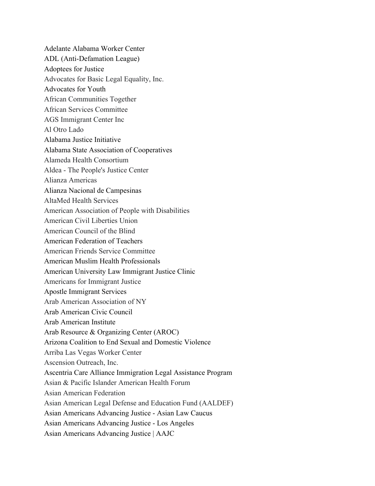Adelante Alabama Worker Center ADL (Anti-Defamation League) Adoptees for Justice Advocates for Basic Legal Equality, Inc. Advocates for Youth African Communities Together African Services Committee AGS Immigrant Center Inc Al Otro Lado Alabama Justice Initiative Alabama State Association of Cooperatives Alameda Health Consortium Aldea - The People's Justice Center Alianza Americas Alianza Nacional de Campesinas AltaMed Health Services American Association of People with Disabilities American Civil Liberties Union American Council of the Blind American Federation of Teachers American Friends Service Committee American Muslim Health Professionals American University Law Immigrant Justice Clinic Americans for Immigrant Justice Apostle Immigrant Services Arab American Association of NY Arab American Civic Council Arab American Institute Arab Resource & Organizing Center (AROC) Arizona Coalition to End Sexual and Domestic Violence Arriba Las Vegas Worker Center Ascension Outreach, Inc. Ascentria Care Alliance Immigration Legal Assistance Program Asian & Pacific Islander American Health Forum Asian American Federation Asian American Legal Defense and Education Fund (AALDEF) Asian Americans Advancing Justice - Asian Law Caucus Asian Americans Advancing Justice - Los Angeles Asian Americans Advancing Justice | AAJC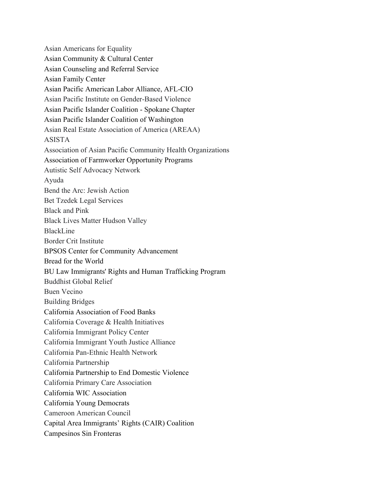Asian Americans for Equality Asian Community & Cultural Center Asian Counseling and Referral Service Asian Family Center Asian Pacific American Labor Alliance, AFL-CIO Asian Pacific Institute on Gender-Based Violence Asian Pacific Islander Coalition - Spokane Chapter Asian Pacific Islander Coalition of Washington Asian Real Estate Association of America (AREAA) ASISTA Association of Asian Pacific Community Health Organizations Association of Farmworker Opportunity Programs Autistic Self Advocacy Network Ayuda Bend the Arc: Jewish Action Bet Tzedek Legal Services Black and Pink Black Lives Matter Hudson Valley BlackLine Border Crit Institute BPSOS Center for Community Advancement Bread for the World BU Law Immigrants' Rights and Human Trafficking Program Buddhist Global Relief Buen Vecino Building Bridges California Association of Food Banks California Coverage & Health Initiatives California Immigrant Policy Center California Immigrant Youth Justice Alliance California Pan-Ethnic Health Network California Partnership California Partnership to End Domestic Violence California Primary Care Association California WIC Association California Young Democrats Cameroon American Council Capital Area Immigrants' Rights (CAIR) Coalition Campesinos Sin Fronteras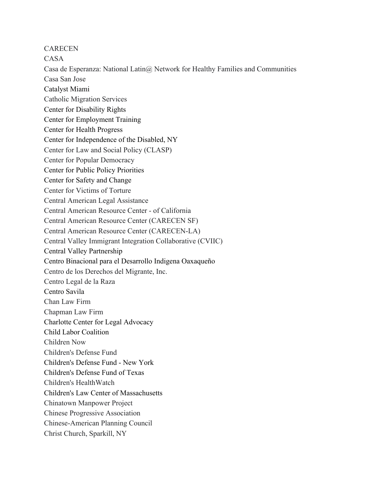**CARECEN** 

CASA

Casa de Esperanza: National Latin $\omega$  Network for Healthy Families and Communities Casa San Jose Catalyst Miami Catholic Migration Services Center for Disability Rights Center for Employment Training Center for Health Progress Center for Independence of the Disabled, NY Center for Law and Social Policy (CLASP) Center for Popular Democracy Center for Public Policy Priorities Center for Safety and Change Center for Victims of Torture Central American Legal Assistance Central American Resource Center - of California Central American Resource Center (CARECEN SF) Central American Resource Center (CARECEN-LA) Central Valley Immigrant Integration Collaborative (CVIIC) Central Valley Partnership Centro Binacional para el Desarrollo Indigena Oaxaqueño Centro de los Derechos del Migrante, Inc. Centro Legal de la Raza Centro Savila Chan Law Firm Chapman Law Firm Charlotte Center for Legal Advocacy Child Labor Coalition Children Now Children's Defense Fund Children's Defense Fund - New York Children's Defense Fund of Texas Children's HealthWatch Children's Law Center of Massachusetts Chinatown Manpower Project Chinese Progressive Association Chinese-American Planning Council Christ Church, Sparkill, NY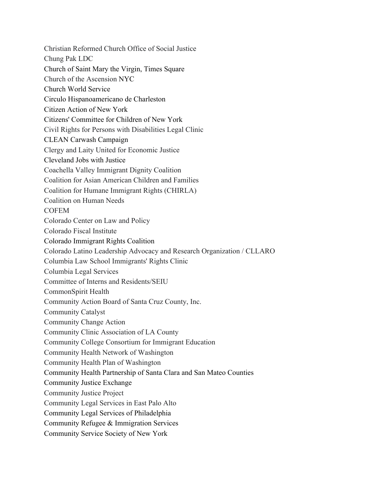Christian Reformed Church Office of Social Justice Chung Pak LDC Church of Saint Mary the Virgin, Times Square Church of the Ascension NYC Church World Service Circulo Hispanoamericano de Charleston Citizen Action of New York Citizens' Committee for Children of New York Civil Rights for Persons with Disabilities Legal Clinic CLEAN Carwash Campaign Clergy and Laity United for Economic Justice Cleveland Jobs with Justice Coachella Valley Immigrant Dignity Coalition Coalition for Asian American Children and Families Coalition for Humane Immigrant Rights (CHIRLA) Coalition on Human Needs **COFEM** Colorado Center on Law and Policy Colorado Fiscal Institute Colorado Immigrant Rights Coalition Colorado Latino Leadership Advocacy and Research Organization / CLLARO Columbia Law School Immigrants' Rights Clinic Columbia Legal Services Committee of Interns and Residents/SEIU CommonSpirit Health Community Action Board of Santa Cruz County, Inc. Community Catalyst Community Change Action Community Clinic Association of LA County Community College Consortium for Immigrant Education Community Health Network of Washington Community Health Plan of Washington Community Health Partnership of Santa Clara and San Mateo Counties Community Justice Exchange Community Justice Project Community Legal Services in East Palo Alto Community Legal Services of Philadelphia Community Refugee & Immigration Services Community Service Society of New York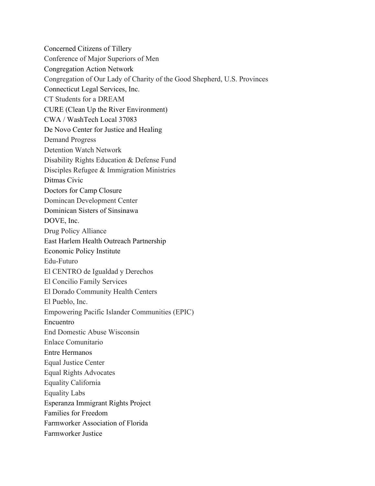Concerned Citizens of Tillery Conference of Major Superiors of Men Congregation Action Network Congregation of Our Lady of Charity of the Good Shepherd, U.S. Provinces Connecticut Legal Services, Inc. CT Students for a DREAM CURE (Clean Up the River Environment) CWA / WashTech Local 37083 De Novo Center for Justice and Healing Demand Progress Detention Watch Network Disability Rights Education & Defense Fund Disciples Refugee & Immigration Ministries Ditmas Civic Doctors for Camp Closure Domincan Development Center Dominican Sisters of Sinsinawa DOVE, Inc. Drug Policy Alliance East Harlem Health Outreach Partnership Economic Policy Institute Edu-Futuro El CENTRO de Igualdad y Derechos El Concilio Family Services El Dorado Community Health Centers El Pueblo, Inc. Empowering Pacific Islander Communities (EPIC) Encuentro End Domestic Abuse Wisconsin Enlace Comunitario Entre Hermanos Equal Justice Center Equal Rights Advocates Equality California Equality Labs Esperanza Immigrant Rights Project Families for Freedom Farmworker Association of Florida Farmworker Justice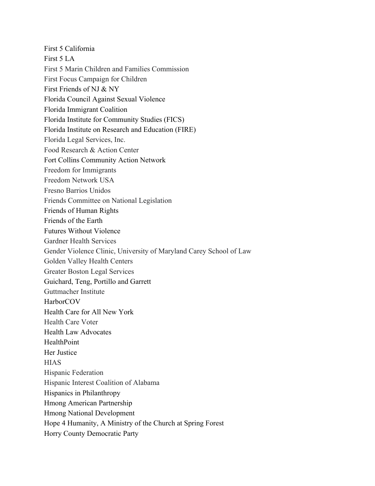First 5 California First 5 LA First 5 Marin Children and Families Commission First Focus Campaign for Children First Friends of NJ & NY Florida Council Against Sexual Violence Florida Immigrant Coalition Florida Institute for Community Studies (FICS) Florida Institute on Research and Education (FIRE) Florida Legal Services, Inc. Food Research & Action Center Fort Collins Community Action Network Freedom for Immigrants Freedom Network USA Fresno Barrios Unidos Friends Committee on National Legislation Friends of Human Rights Friends of the Earth Futures Without Violence Gardner Health Services Gender Violence Clinic, University of Maryland Carey School of Law Golden Valley Health Centers Greater Boston Legal Services Guichard, Teng, Portillo and Garrett Guttmacher Institute HarborCOV Health Care for All New York Health Care Voter Health Law Advocates **HealthPoint** Her Justice **HIAS** Hispanic Federation Hispanic Interest Coalition of Alabama Hispanics in Philanthropy Hmong American Partnership Hmong National Development Hope 4 Humanity, A Ministry of the Church at Spring Forest Horry County Democratic Party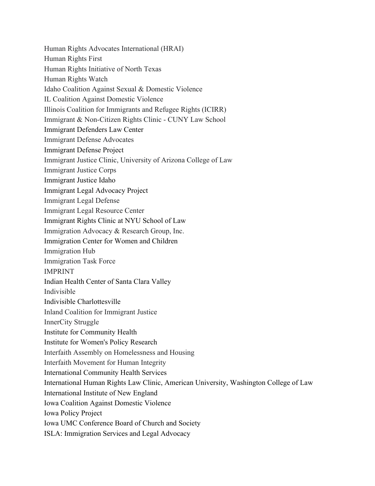Human Rights Advocates International (HRAI) Human Rights First Human Rights Initiative of North Texas Human Rights Watch Idaho Coalition Against Sexual & Domestic Violence IL Coalition Against Domestic Violence Illinois Coalition for Immigrants and Refugee Rights (ICIRR) Immigrant & Non-Citizen Rights Clinic - CUNY Law School Immigrant Defenders Law Center Immigrant Defense Advocates Immigrant Defense Project Immigrant Justice Clinic, University of Arizona College of Law Immigrant Justice Corps Immigrant Justice Idaho Immigrant Legal Advocacy Project Immigrant Legal Defense Immigrant Legal Resource Center Immigrant Rights Clinic at NYU School of Law Immigration Advocacy & Research Group, Inc. Immigration Center for Women and Children Immigration Hub Immigration Task Force IMPRINT Indian Health Center of Santa Clara Valley Indivisible Indivisible Charlottesville Inland Coalition for Immigrant Justice InnerCity Struggle Institute for Community Health Institute for Women's Policy Research Interfaith Assembly on Homelessness and Housing Interfaith Movement for Human Integrity International Community Health Services International Human Rights Law Clinic, American University, Washington College of Law International Institute of New England Iowa Coalition Against Domestic Violence Iowa Policy Project Iowa UMC Conference Board of Church and Society ISLA: Immigration Services and Legal Advocacy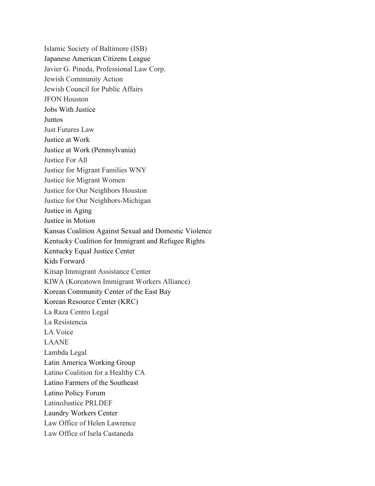Islamic Society of Baltimore (ISB) Japanese American Citizens League Javier G. Pineda, Professional Law Corp. Jewish Community Action Jewish Council for Public Affairs JFON Houston Jobs With Justice **Juntos** Just Futures Law Justice at Work Justice at Work (Pennsylvania) Justice For All Justice for Migrant Families WNY Justice for Migrant Women Justice for Our Neighbors Houston Justice for Our Neighbors-Michigan Justice in Aging Justice in Motion Kansas Coalition Against Sexual and Domestic Violence Kentucky Coalition for Immigrant and Refugee Rights Kentucky Equal Justice Center Kids Forward Kitsap Immigrant Assistance Center KIWA (Koreatown Immigrant Workers Alliance) Korean Community Center of the East Bay Korean Resource Center (KRC) La Raza Centro Legal La Resistencia LA Voice LAANE Lambda Legal Latin America Working Group Latino Coalition for a Healthy CA Latino Farmers of the Southeast Latino Policy Forum LatinoJustice PRLDEF Laundry Workers Center Law Office of Helen Lawrence Law Office of Isela Castaneda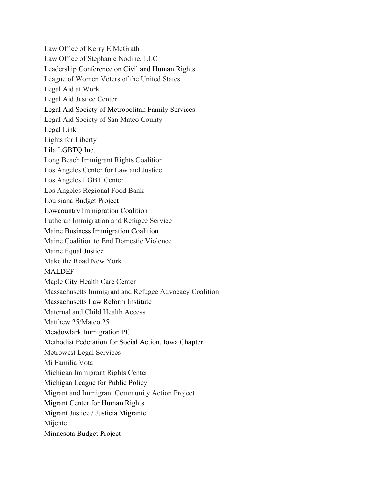Law Office of Kerry E McGrath Law Office of Stephanie Nodine, LLC Leadership Conference on Civil and Human Rights League of Women Voters of the United States Legal Aid at Work Legal Aid Justice Center Legal Aid Society of Metropolitan Family Services Legal Aid Society of San Mateo County Legal Link Lights for Liberty Lila LGBTQ Inc. Long Beach Immigrant Rights Coalition Los Angeles Center for Law and Justice Los Angeles LGBT Center Los Angeles Regional Food Bank Louisiana Budget Project Lowcountry Immigration Coalition Lutheran Immigration and Refugee Service Maine Business Immigration Coalition Maine Coalition to End Domestic Violence Maine Equal Justice Make the Road New York MALDEF Maple City Health Care Center Massachusetts Immigrant and Refugee Advocacy Coalition Massachusetts Law Reform Institute Maternal and Child Health Access Matthew 25/Mateo 25 Meadowlark Immigration PC Methodist Federation for Social Action, Iowa Chapter Metrowest Legal Services Mi Familia Vota Michigan Immigrant Rights Center Michigan League for Public Policy Migrant and Immigrant Community Action Project Migrant Center for Human Rights Migrant Justice / Justicia Migrante Mijente Minnesota Budget Project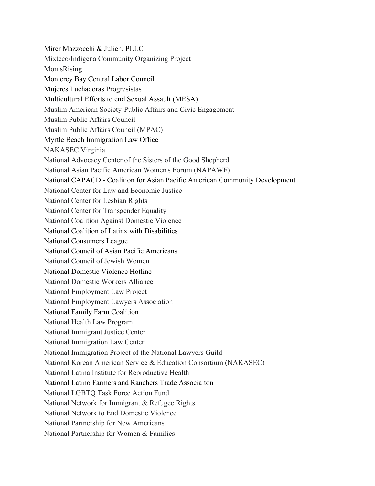Mirer Mazzocchi & Julien, PLLC Mixteco/Indigena Community Organizing Project MomsRising Monterey Bay Central Labor Council Mujeres Luchadoras Progresistas Multicultural Efforts to end Sexual Assault (MESA) Muslim American Society-Public Affairs and Civic Engagement Muslim Public Affairs Council Muslim Public Affairs Council (MPAC) Myrtle Beach Immigration Law Office NAKASEC Virginia National Advocacy Center of the Sisters of the Good Shepherd National Asian Pacific American Women's Forum (NAPAWF) National CAPACD - Coalition for Asian Pacific American Community Development National Center for Law and Economic Justice National Center for Lesbian Rights National Center for Transgender Equality National Coalition Against Domestic Violence National Coalition of Latinx with Disabilities National Consumers League National Council of Asian Pacific Americans National Council of Jewish Women National Domestic Violence Hotline National Domestic Workers Alliance National Employment Law Project National Employment Lawyers Association National Family Farm Coalition National Health Law Program National Immigrant Justice Center National Immigration Law Center National Immigration Project of the National Lawyers Guild National Korean American Service & Education Consortium (NAKASEC) National Latina Institute for Reproductive Health National Latino Farmers and Ranchers Trade Associaiton National LGBTQ Task Force Action Fund National Network for Immigrant & Refugee Rights National Network to End Domestic Violence National Partnership for New Americans National Partnership for Women & Families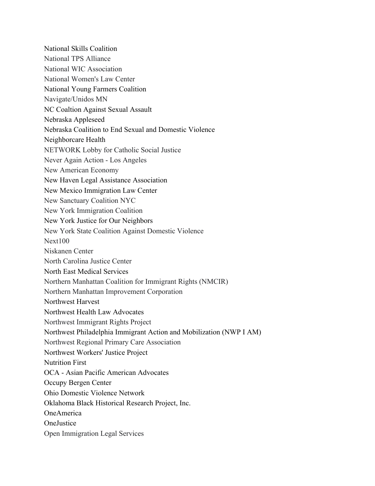National Skills Coalition National TPS Alliance National WIC Association National Women's Law Center National Young Farmers Coalition Navigate/Unidos MN NC Coaltion Against Sexual Assault Nebraska Appleseed Nebraska Coalition to End Sexual and Domestic Violence Neighborcare Health NETWORK Lobby for Catholic Social Justice Never Again Action - Los Angeles New American Economy New Haven Legal Assistance Association New Mexico Immigration Law Center New Sanctuary Coalition NYC New York Immigration Coalition New York Justice for Our Neighbors New York State Coalition Against Domestic Violence Next100 Niskanen Center North Carolina Justice Center North East Medical Services Northern Manhattan Coalition for Immigrant Rights (NMCIR) Northern Manhattan Improvement Corporation Northwest Harvest Northwest Health Law Advocates Northwest Immigrant Rights Project Northwest Philadelphia Immigrant Action and Mobilization (NWP I AM) Northwest Regional Primary Care Association Northwest Workers' Justice Project Nutrition First OCA - Asian Pacific American Advocates Occupy Bergen Center Ohio Domestic Violence Network Oklahoma Black Historical Research Project, Inc. OneAmerica **OneJustice** Open Immigration Legal Services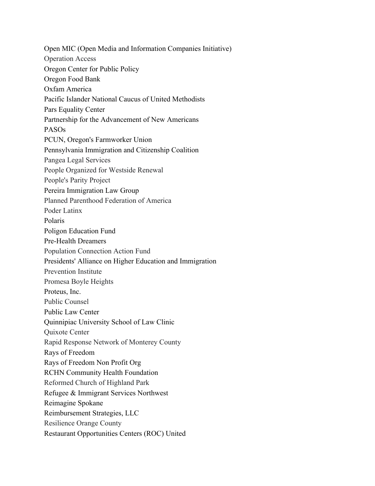Open MIC (Open Media and Information Companies Initiative) Operation Access Oregon Center for Public Policy Oregon Food Bank Oxfam America Pacific Islander National Caucus of United Methodists Pars Equality Center Partnership for the Advancement of New Americans PASOs PCUN, Oregon's Farmworker Union Pennsylvania Immigration and Citizenship Coalition Pangea Legal Services People Organized for Westside Renewal People's Parity Project Pereira Immigration Law Group Planned Parenthood Federation of America Poder Latinx Polaris Poligon Education Fund Pre-Health Dreamers Population Connection Action Fund Presidents' Alliance on Higher Education and Immigration Prevention Institute Promesa Boyle Heights Proteus, Inc. Public Counsel Public Law Center Quinnipiac University School of Law Clinic Quixote Center Rapid Response Network of Monterey County Rays of Freedom Rays of Freedom Non Profit Org RCHN Community Health Foundation Reformed Church of Highland Park Refugee & Immigrant Services Northwest Reimagine Spokane Reimbursement Strategies, LLC Resilience Orange County Restaurant Opportunities Centers (ROC) United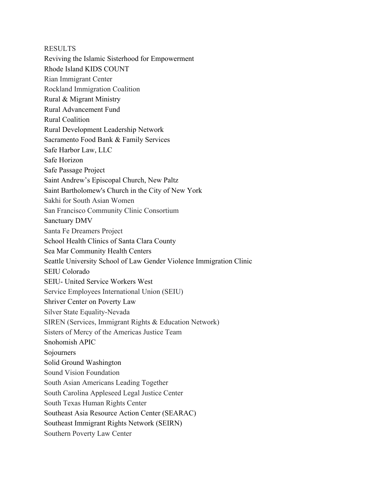**RESULTS** Reviving the Islamic Sisterhood for Empowerment Rhode Island KIDS COUNT Rian Immigrant Center Rockland Immigration Coalition Rural & Migrant Ministry Rural Advancement Fund Rural Coalition Rural Development Leadership Network Sacramento Food Bank & Family Services Safe Harbor Law, LLC Safe Horizon Safe Passage Project Saint Andrew's Episcopal Church, New Paltz Saint Bartholomew's Church in the City of New York Sakhi for South Asian Women San Francisco Community Clinic Consortium Sanctuary DMV Santa Fe Dreamers Project School Health Clinics of Santa Clara County Sea Mar Community Health Centers Seattle University School of Law Gender Violence Immigration Clinic SEIU Colorado SEIU- United Service Workers West Service Employees International Union (SEIU) Shriver Center on Poverty Law Silver State Equality-Nevada SIREN (Services, Immigrant Rights & Education Network) Sisters of Mercy of the Americas Justice Team Snohomish APIC Sojourners Solid Ground Washington Sound Vision Foundation South Asian Americans Leading Together South Carolina Appleseed Legal Justice Center South Texas Human Rights Center Southeast Asia Resource Action Center (SEARAC) Southeast Immigrant Rights Network (SEIRN)

Southern Poverty Law Center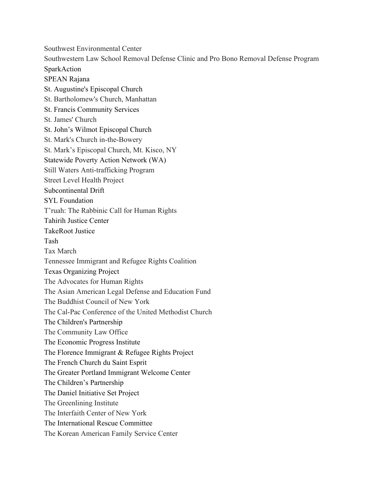Southwest Environmental Center

Southwestern Law School Removal Defense Clinic and Pro Bono Removal Defense Program SparkAction

SPEAN Rajana

- St. Augustine's Episcopal Church
- St. Bartholomew's Church, Manhattan
- St. Francis Community Services
- St. James' Church
- St. John's Wilmot Episcopal Church
- St. Mark's Church in-the-Bowery

St. Mark's Episcopal Church, Mt. Kisco, NY

Statewide Poverty Action Network (WA)

Still Waters Anti-trafficking Program

Street Level Health Project

Subcontinental Drift

SYL Foundation

T'ruah: The Rabbinic Call for Human Rights

Tahirih Justice Center

TakeRoot Justice

Tash

Tax March

Tennessee Immigrant and Refugee Rights Coalition

Texas Organizing Project

The Advocates for Human Rights

The Asian American Legal Defense and Education Fund

The Buddhist Council of New York

The Cal-Pac Conference of the United Methodist Church

The Children's Partnership

The Community Law Office

The Economic Progress Institute

The Florence Immigrant & Refugee Rights Project

The French Church du Saint Esprit

The Greater Portland Immigrant Welcome Center

The Children's Partnership

The Daniel Initiative Set Project

The Greenlining Institute

The Interfaith Center of New York

The International Rescue Committee

The Korean American Family Service Center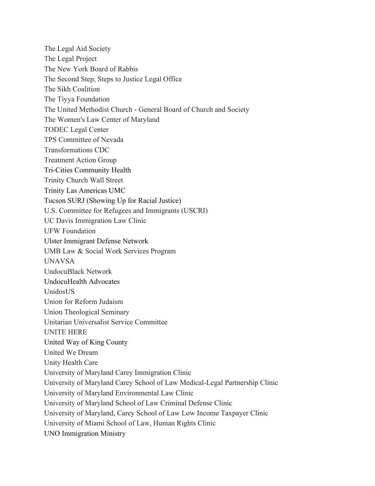The Legal Aid Society The Legal Project The New York Board of Rabbis The Second Step, Steps to Justice Legal Office The Sikh Coalition The Tiyya Foundation The United Methodist Church - General Board of Church and Society The Women's Law Center of Maryland TODEC Legal Center TPS Committee of Nevada Transformations CDC Treatment Action Group Tri-Cities Community Health Trinity Church Wall Street Trinity Las Americas UMC Tucson SURJ (Showing Up for Racial Justice) U.S. Committee for Refugees and Immigrants (USCRI) UC Davis Immigration Law Clinic UFW Foundation Ulster Immigrant Defense Network UMB Law & Social Work Services Program UNAVSA UndocuBlack Network UndocuHealth Advocates UnidosUS Union for Reform Judaism Union Theological Seminary Unitarian Universalist Service Committee UNITE HERE United Way of King County United We Dream Unity Health Care University of Maryland Carey Immigration Clinic University of Maryland Carey School of Law Medical-Legal Partnership Clinic University of Maryland Environmental Law Clinic University of Maryland School of Law Criminal Defense Clinic University of Maryland, Carey School of Law Low Income Taxpayer Clinic University of Miami School of Law, Human Rights Clinic UNO Immigration Ministry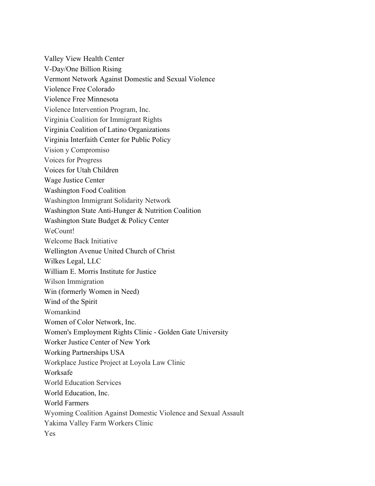Valley View Health Center V-Day/One Billion Rising Vermont Network Against Domestic and Sexual Violence Violence Free Colorado Violence Free Minnesota Violence Intervention Program, Inc. Virginia Coalition for Immigrant Rights Virginia Coalition of Latino Organizations Virginia Interfaith Center for Public Policy Vision y Compromiso Voices for Progress Voices for Utah Children Wage Justice Center Washington Food Coalition Washington Immigrant Solidarity Network Washington State Anti-Hunger & Nutrition Coalition Washington State Budget & Policy Center WeCount! Welcome Back Initiative Wellington Avenue United Church of Christ Wilkes Legal, LLC William E. Morris Institute for Justice Wilson Immigration Win (formerly Women in Need) Wind of the Spirit Womankind Women of Color Network, Inc. Women's Employment Rights Clinic - Golden Gate University Worker Justice Center of New York Working Partnerships USA Workplace Justice Project at Loyola Law Clinic Worksafe World Education Services World Education, Inc. World Farmers Wyoming Coalition Against Domestic Violence and Sexual Assault Yakima Valley Farm Workers Clinic Yes